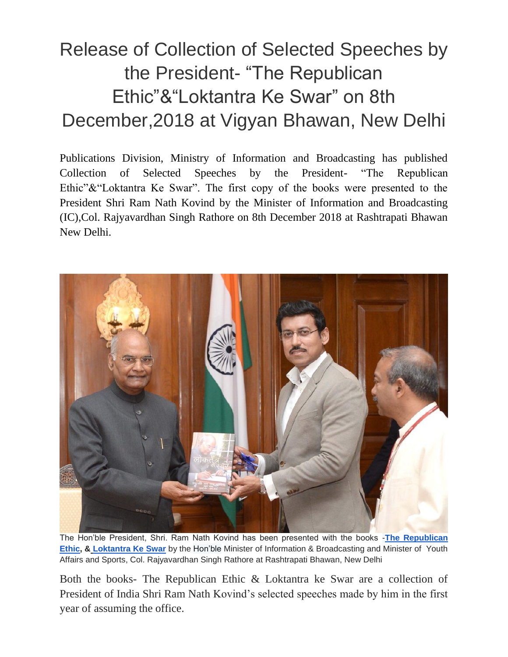## Release of Collection of Selected Speeches by the President- "The Republican Ethic"&"Loktantra Ke Swar" on 8th December,2018 at Vigyan Bhawan, New Delhi

Publications Division, Ministry of Information and Broadcasting has published Collection of Selected Speeches by the President- "The Republican Ethic"&"Loktantra Ke Swar". The first copy of the books were presented to the President Shri Ram Nath Kovind by the Minister of Information and Broadcasting (IC),Col. Rajyavardhan Singh Rathore on 8th December 2018 at Rashtrapati Bhawan New Delhi.



The Hon'ble President, Shri. Ram Nath Kovind has been presented with the books -**[The Republican](https://twitter.com/hashtag/TheRepublicanEthic?src=hash)  [Ethic,](https://twitter.com/hashtag/TheRepublicanEthic?src=hash) [&](https://twitter.com/hashtag/LoktantraKeSwar?src=hash) [Loktantra Ke Swar](https://twitter.com/hashtag/LoktantraKeSwar?src=hash)** by the Hon'ble Minister of Information & Broadcasting and Minister of Youth Affairs and Sports, Col. Rajyavardhan Singh Rathore at Rashtrapati Bhawan, New Delhi

Both the books- The Republican Ethic & Loktantra ke Swar are a collection of President of India Shri Ram Nath Kovind's selected speeches made by him in the first year of assuming the office.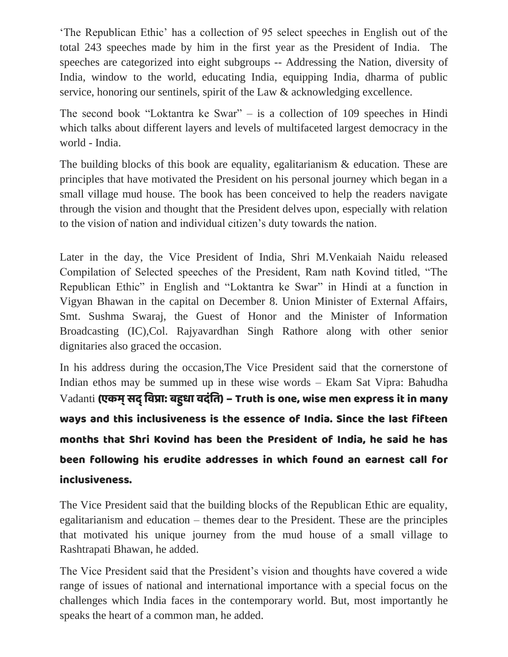'The Republican Ethic' has a collection of 95 select speeches in English out of the total 243 speeches made by him in the first year as the President of India. The speeches are categorized into eight subgroups -- Addressing the Nation, diversity of India, window to the world, educating India, equipping India, dharma of public service, honoring our sentinels, spirit of the Law & acknowledging excellence.

The second book "Loktantra ke Swar" – is a collection of 109 speeches in Hindi which talks about different layers and levels of multifaceted largest democracy in the world - India.

The building blocks of this book are equality, egalitarianism & education. These are principles that have motivated the President on his personal journey which began in a small village mud house. The book has been conceived to help the readers navigate through the vision and thought that the President delves upon, especially with relation to the vision of nation and individual citizen's duty towards the nation.

Later in the day, the Vice President of India, Shri M.Venkaiah Naidu released Compilation of Selected speeches of the President, Ram nath Kovind titled, "The Republican Ethic" in English and "Loktantra ke Swar" in Hindi at a function in Vigyan Bhawan in the capital on December 8. Union Minister of External Affairs, Smt. Sushma Swaraj, the Guest of Honor and the Minister of Information Broadcasting (IC),Col. Rajyavardhan Singh Rathore along with other senior dignitaries also graced the occasion.

In his address during the occasion,The Vice President said that the cornerstone of Indian ethos may be summed up in these wise words – Ekam Sat Vipra: Bahudha  $\rm Vadanti$  (एकम् सद् विप्रा: बहुधा वदंति) – Truth is one, wise men express it in many ways and this inclusiveness is the essence of India. Since the last fifteen months that Shri Kovind has been the President of India, he said he has been following his erudite addresses in which found an earnest call for inclusiveness.

The Vice President said that the building blocks of the Republican Ethic are equality, egalitarianism and education – themes dear to the President. These are the principles that motivated his unique journey from the mud house of a small village to Rashtrapati Bhawan, he added.

The Vice President said that the President's vision and thoughts have covered a wide range of issues of national and international importance with a special focus on the challenges which India faces in the contemporary world. But, most importantly he speaks the heart of a common man, he added.